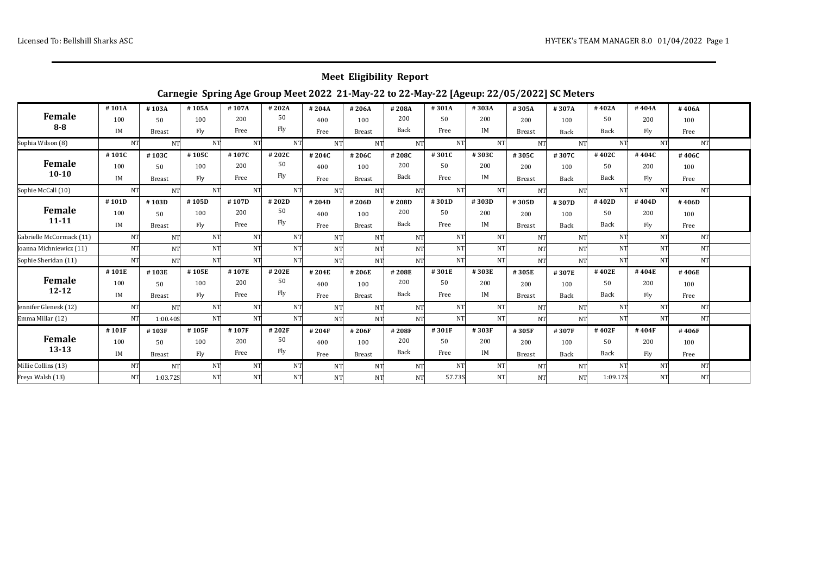## **Meet Eligibility Report**

## **Carnegie Spring Age Group Meet 2022 21-May-22 to 22-May-22 [Ageup: 22/05/2022] SC Meters**

|                            | #101A | #103A         | #105A     | #107A | #202A     | #204A     | #206A         | #208A     | #301A  | #303A | #305A         | #307A     | #402A     | #404A     | #406A     |  |
|----------------------------|-------|---------------|-----------|-------|-----------|-----------|---------------|-----------|--------|-------|---------------|-----------|-----------|-----------|-----------|--|
| Female                     | 100   | 50            | 100       | 200   | 50        | 400       | 100           | 200       | 50     | 200   | 200           | 100       | 50        | 200       | 100       |  |
| $8 - 8$                    | IM    | <b>Breast</b> | Fly       | Free  | Fly       | Free      | <b>Breast</b> | Back      | Free   | IM    | <b>Breast</b> | Back      | Back      | Fly       | Free      |  |
| Sophia Wilson (8)          | NT    | NT            | <b>NT</b> | NT    | NT        | <b>NT</b> | <b>NT</b>     | <b>NT</b> | NT     | NT    | <b>NT</b>     | NT        | <b>NT</b> | <b>NT</b> | NT        |  |
|                            | #101C | #103C         | #105C     | #107C | #202C     | #204C     | #206C         | #208C     | #301C  | #303C | #305C         | #307C     | #402C     | #404C     | #406C     |  |
| <b>Female</b><br>$10 - 10$ | 100   | 50            | 100       | 200   | 50        | 400       | 100           | 200       | 50     | 200   | 200           | 100       | 50        | 200       | 100       |  |
|                            | IM    | <b>Breast</b> | Fly       | Free  | Fly       | Free      | <b>Breast</b> | Back      | Free   | IM    | Breast        | Back      | Back      | Fly       | Free      |  |
| Sophie McCall (10)         | NT    | NT            | <b>NT</b> | NT    | NT        | <b>NT</b> | NT            | <b>NT</b> | NT     | NT    | <b>NT</b>     | <b>NT</b> | NT        | NT        | NT        |  |
|                            | #101D | #103D         | #105D     | #107D | #202D     | #204D     | #206D         | #208D     | #301D  | #303D | #305D         | #307D     | #402D     | #404D     | #406D     |  |
| Female                     | 100   | 50            | 100       | 200   | 50        | 400       | 100           | 200       | 50     | 200   | 200           | 100       | 50        | 200       | 100       |  |
| $11 - 11$                  | IM    | <b>Breast</b> | Fly       | Free  | Fly       | Free      | <b>Breast</b> | Back      | Free   | IM    | <b>Breast</b> | Back      | Back      | Fly       | Free      |  |
| Gabrielle McCormack (11)   | NT.   | NT            | NT        | NT    | NT        | <b>NT</b> | NT            | <b>NT</b> | NT     | NT    | <b>NT</b>     | <b>NT</b> | <b>NT</b> | NT        | <b>NT</b> |  |
| Joanna Michniewicz (11)    | NT.   | NT            | <b>NT</b> | NT    | NT        | <b>NT</b> | NT.           | <b>NT</b> | NT     | NT    | <b>NT</b>     | <b>NT</b> | <b>NT</b> | <b>NT</b> | <b>NT</b> |  |
| Sophie Sheridan (11)       | NT    | NT            | NT        | NT    | <b>NT</b> | <b>NT</b> | NT            | <b>NT</b> | NT     | NT    | <b>NT</b>     | <b>NT</b> | <b>NT</b> | NT        | <b>NT</b> |  |
|                            | #101E | #103E         | #105E     | #107E | #202E     | #204E     | #206E         | #208E     | #301E  | #303E | #305E         | #307E     | #402E     | #404E     | #406E     |  |
| <b>Female</b>              | 100   | 50            | 100       | 200   | 50        | 400       | 100           | 200       | 50     | 200   | 200           | 100       | 50        | 200       | 100       |  |
| $12 - 12$                  | IM    | <b>Breast</b> | Fly       | Free  | Fly       | Free      | <b>Breast</b> | Back      | Free   | IM    | <b>Breast</b> | Back      | Back      | Fly       | Free      |  |
| Jennifer Glenesk (12)      | NT    | NT            | NT        | NT    | NT        | <b>NT</b> | <b>NT</b>     | <b>NT</b> | NT     | NT    | <b>NT</b>     | NT        | <b>NT</b> | <b>NT</b> | <b>NT</b> |  |
| Emma Millar (12)           | NT    | 1:00.40S      | NT        | NT    | <b>NT</b> | <b>NT</b> | NT            | NT        | NT     | NT.   | <b>NT</b>     | NT        | <b>NT</b> | <b>NT</b> | <b>NT</b> |  |
|                            | #101F | #103F         | #105F     | #107F | #202F     | #204F     | #206F         | #208F     | #301F  | #303F | #305F         | #307F     | #402F     | #404F     | #406F     |  |
| <b>Female</b>              | 100   | 50            | 100       | 200   | 50        | 400       | 100           | 200       | 50     | 200   | 200           | 100       | 50        | 200       | 100       |  |
| $13 - 13$                  | IM    | <b>Breast</b> | Fly       | Free  | Fly       | Free      | <b>Breast</b> | Back      | Free   | IM    | <b>Breast</b> | Back      | Back      | Fly       | Free      |  |
| Millie Collins (13)        | NT    | NT            | <b>NT</b> | NT    | NT        | <b>NT</b> | <b>NT</b>     | <b>NT</b> | NT     | NT    | <b>NT</b>     | <b>NT</b> | <b>NT</b> | <b>NT</b> | <b>NT</b> |  |
| Freya Walsh (13)           | NT    | 1:03.72S      | NT        | NT    | NT        | NT        | NT            | NT        | 57.73S | NT    | NT            | <b>NT</b> | 1:09.17S  | NT        | NT        |  |